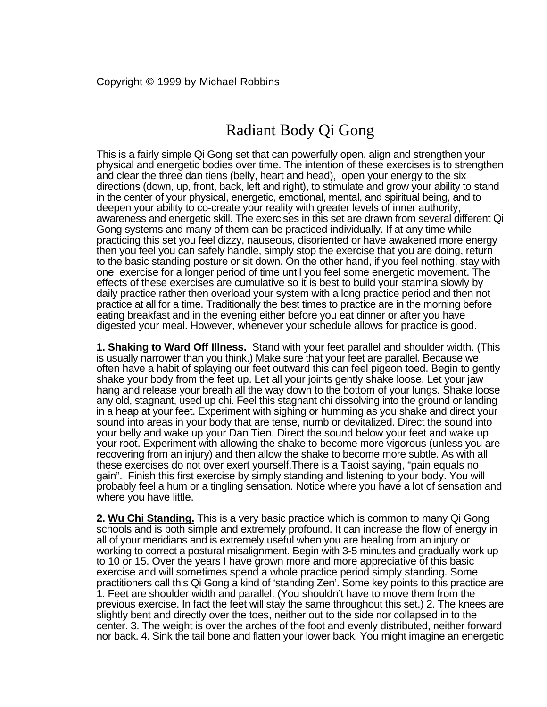# Radiant Body Qi Gong

This is a fairly simple Qi Gong set that can powerfully open, align and strengthen your physical and energetic bodies over time. The intention of these exercises is to strengthen and clear the three dan tiens (belly, heart and head), open your energy to the six directions (down, up, front, back, left and right), to stimulate and grow your ability to stand in the center of your physical, energetic, emotional, mental, and spiritual being, and to deepen your ability to co-create your reality with greater levels of inner authority, awareness and energetic skill. The exercises in this set are drawn from several different Qi Gong systems and many of them can be practiced individually. If at any time while practicing this set you feel dizzy, nauseous, disoriented or have awakened more energy then you feel you can safely handle, simply stop the exercise that you are doing, return to the basic standing posture or sit down. On the other hand, if you feel nothing, stay with one exercise for a longer period of time until you feel some energetic movement. The effects of these exercises are cumulative so it is best to build your stamina slowly by daily practice rather then overload your system with a long practice period and then not practice at all for a time. Traditionally the best times to practice are in the morning before eating breakfast and in the evening either before you eat dinner or after you have digested your meal. However, whenever your schedule allows for practice is good.

**1. Shaking to Ward Off Illness.** Stand with your feet parallel and shoulder width. (This is usually narrower than you think.) Make sure that your feet are parallel. Because we often have a habit of splaying our feet outward this can feel pigeon toed. Begin to gently shake your body from the feet up. Let all your joints gently shake loose. Let your jaw hang and release your breath all the way down to the bottom of your lungs. Shake loose any old, stagnant, used up chi. Feel this stagnant chi dissolving into the ground or landing in a heap at your feet. Experiment with sighing or humming as you shake and direct your sound into areas in your body that are tense, numb or devitalized. Direct the sound into your belly and wake up your Dan Tien. Direct the sound below your feet and wake up your root. Experiment with allowing the shake to become more vigorous (unless you are recovering from an injury) and then allow the shake to become more subtle. As with all these exercises do not over exert yourself.There is a Taoist saying, "pain equals no gain". Finish this first exercise by simply standing and listening to your body. You will probably feel a hum or a tingling sensation. Notice where you have a lot of sensation and where you have little.

**2. Wu Chi Standing.** This is a very basic practice which is common to many Qi Gong schools and is both simple and extremely profound. It can increase the flow of energy in all of your meridians and is extremely useful when you are healing from an injury or working to correct a postural misalignment. Begin with 3-5 minutes and gradually work up to 10 or 15. Over the years I have grown more and more appreciative of this basic exercise and will sometimes spend a whole practice period simply standing. Some practitioners call this Qi Gong a kind of 'standing Zen'. Some key points to this practice are 1. Feet are shoulder width and parallel. (You shouldn't have to move them from the previous exercise. In fact the feet will stay the same throughout this set.) 2. The knees are slightly bent and directly over the toes, neither out to the side nor collapsed in to the center. 3. The weight is over the arches of the foot and evenly distributed, neither forward nor back. 4. Sink the tail bone and flatten your lower back. You might imagine an energetic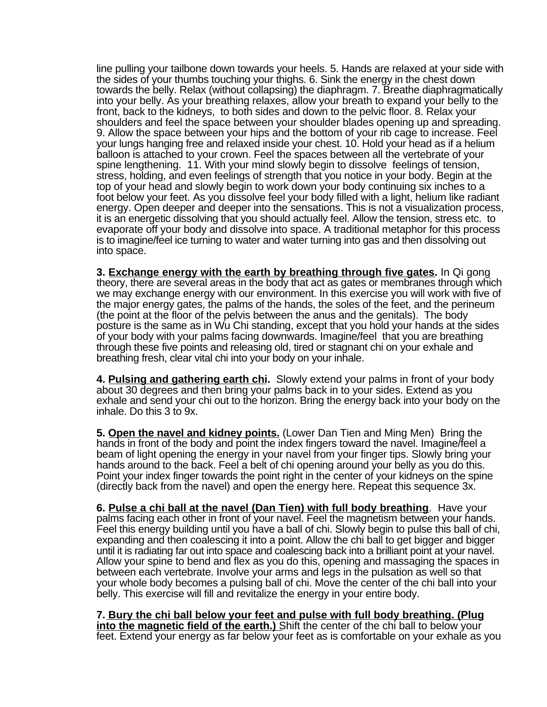line pulling your tailbone down towards your heels. 5. Hands are relaxed at your side with the sides of your thumbs touching your thighs. 6. Sink the energy in the chest down towards the belly. Relax (without collapsing) the diaphragm. 7. Breathe diaphragmatically into your belly. As your breathing relaxes, allow your breath to expand your belly to the front, back to the kidneys, to both sides and down to the pelvic floor. 8. Relax your shoulders and feel the space between your shoulder blades opening up and spreading. 9. Allow the space between your hips and the bottom of your rib cage to increase. Feel your lungs hanging free and relaxed inside your chest. 10. Hold your head as if a helium balloon is attached to your crown. Feel the spaces between all the vertebrate of your spine lengthening. 11. With your mind slowly begin to dissolve feelings of tension, stress, holding, and even feelings of strength that you notice in your body. Begin at the top of your head and slowly begin to work down your body continuing six inches to a foot below your feet. As you dissolve feel your body filled with a light, helium like radiant energy. Open deeper and deeper into the sensations. This is not a visualization process, it is an energetic dissolving that you should actually feel. Allow the tension, stress etc. to evaporate off your body and dissolve into space. A traditional metaphor for this process is to imagine/feel ice turning to water and water turning into gas and then dissolving out into space.

**3. Exchange energy with the earth by breathing through five gates.** In Qi gong theory, there are several areas in the body that act as gates or membranes through which we may exchange energy with our environment. In this exercise you will work with five of the major energy gates, the palms of the hands, the soles of the feet, and the perineum (the point at the floor of the pelvis between the anus and the genitals). The body posture is the same as in Wu Chi standing, except that you hold your hands at the sides of your body with your palms facing downwards. Imagine/feel that you are breathing through these five points and releasing old, tired or stagnant chi on your exhale and breathing fresh, clear vital chi into your body on your inhale.

**4. Pulsing and gathering earth chi.** Slowly extend your palms in front of your body about 30 degrees and then bring your palms back in to your sides. Extend as you exhale and send your chi out to the horizon. Bring the energy back into your body on the inhale. Do this 3 to 9x.

**5. Open the navel and kidney points.** (Lower Dan Tien and Ming Men) Bring the hands in front of the body and point the index fingers toward the navel. Imagine/feel a beam of light opening the energy in your navel from your finger tips. Slowly bring your hands around to the back. Feel a belt of chi opening around your belly as you do this. Point your index finger towards the point right in the center of your kidneys on the spine (directly back from the navel) and open the energy here. Repeat this sequence 3x.

**6. Pulse a chi ball at the navel (Dan Tien) with full body breathing**. Have your palms facing each other in front of your navel. Feel the magnetism between your hands. Feel this energy building until you have a ball of chi. Slowly begin to pulse this ball of chi, expanding and then coalescing it into a point. Allow the chi ball to get bigger and bigger until it is radiating far out into space and coalescing back into a brilliant point at your navel. Allow your spine to bend and flex as you do this, opening and massaging the spaces in between each vertebrate. Involve your arms and legs in the pulsation as well so that your whole body becomes a pulsing ball of chi. Move the center of the chi ball into your belly. This exercise will fill and revitalize the energy in your entire body.

**7. Bury the chi ball below your feet and pulse with full body breathing. (Plug into the magnetic field of the earth.)** Shift the center of the chi ball to below your feet. Extend your energy as far below your feet as is comfortable on your exhale as you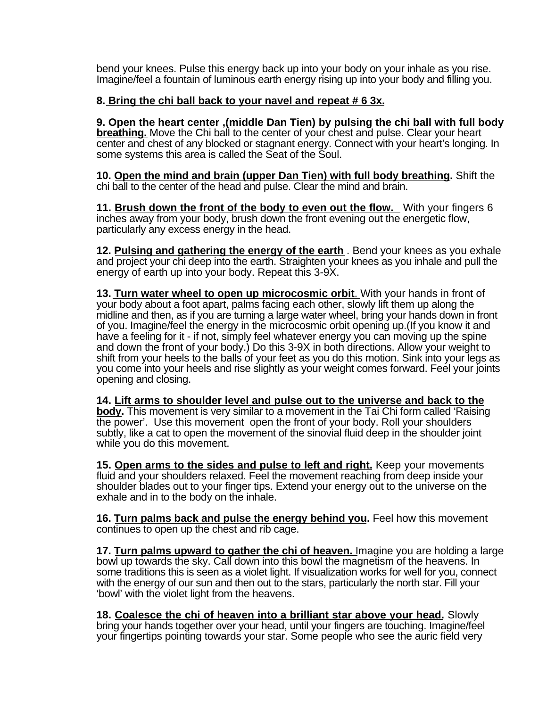bend your knees. Pulse this energy back up into your body on your inhale as you rise. Imagine/feel a fountain of luminous earth energy rising up into your body and filling you.

#### **8. Bring the chi ball back to your navel and repeat # 6 3x.**

**9. Open the heart center ,(middle Dan Tien) by pulsing the chi ball with full body breathing.** Move the Chi ball to the center of your chest and pulse. Clear your heart center and chest of any blocked or stagnant energy. Connect with your heart's longing. In some systems this area is called the Seat of the Soul.

**10. Open the mind and brain (upper Dan Tien) with full body breathing.** Shift the chi ball to the center of the head and pulse. Clear the mind and brain.

**11. Brush down the front of the body to even out the flow.** With your fingers 6 inches away from your body, brush down the front evening out the energetic flow, particularly any excess energy in the head.

**12. Pulsing and gathering the energy of the earth** . Bend your knees as you exhale and project your chi deep into the earth. Straighten your knees as you inhale and pull the energy of earth up into your body. Repeat this 3-9X.

**13. Turn water wheel to open up microcosmic orbit**. With your hands in front of your body about a foot apart, palms facing each other, slowly lift them up along the midline and then, as if you are turning a large water wheel, bring your hands down in front of you. Imagine/feel the energy in the microcosmic orbit opening up.(If you know it and have a feeling for it - if not, simply feel whatever energy you can moving up the spine and down the front of your body.) Do this 3-9X in both directions. Allow your weight to shift from your heels to the balls of your feet as you do this motion. Sink into your legs as you come into your heels and rise slightly as your weight comes forward. Feel your joints opening and closing.

**14. Lift arms to shoulder level and pulse out to the universe and back to the body.** This movement is very similar to a movement in the Tai Chi form called 'Raising the power'. Use this movement open the front of your body. Roll your shoulders subtly, like a cat to open the movement of the sinovial fluid deep in the shoulder joint while you do this movement.

**15. Open arms to the sides and pulse to left and right.** Keep your movements fluid and your shoulders relaxed. Feel the movement reaching from deep inside your shoulder blades out to your finger tips. Extend your energy out to the universe on the exhale and in to the body on the inhale.

**16. Turn palms back and pulse the energy behind you.** Feel how this movement continues to open up the chest and rib cage.

**17. Turn palms upward to gather the chi of heaven.** Imagine you are holding a large bowl up towards the sky. Call down into this bowl the magnetism of the heavens. In some traditions this is seen as a violet light. If visualization works for well for you, connect with the energy of our sun and then out to the stars, particularly the north star. Fill your 'bowl' with the violet light from the heavens.

**18. Coalesce the chi of heaven into a brilliant star above your head.** Slowly bring your hands together over your head, until your fingers are touching. Imagine/feel your fingertips pointing towards your star. Some people who see the auric field very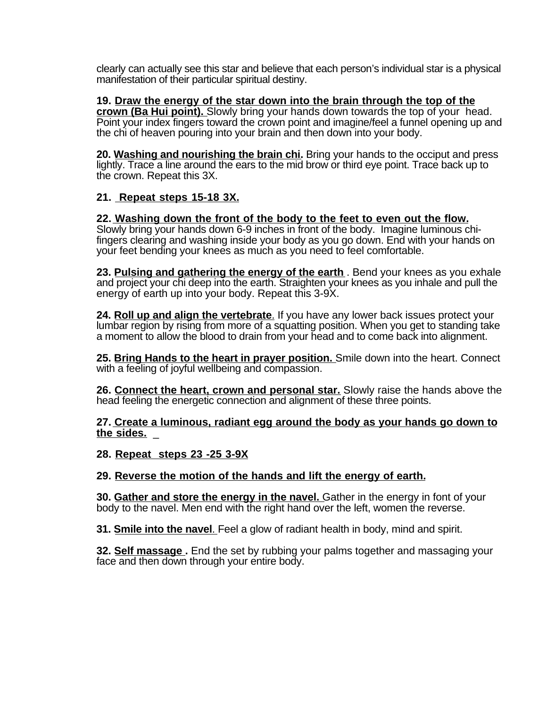clearly can actually see this star and believe that each person's individual star is a physical manifestation of their particular spiritual destiny.

**19. Draw the energy of the star down into the brain through the top of the crown (Ba Hui point).** Slowly bring your hands down towards the top of your head. Point your index fingers toward the crown point and imagine/feel a funnel opening up and the chi of heaven pouring into your brain and then down into your body.

**20. Washing and nourishing the brain chi.** Bring your hands to the occiput and press lightly. Trace a line around the ears to the mid brow or third eye point. Trace back up to the crown. Repeat this 3X.

## **21. Repeat steps 15-18 3X.**

**22. Washing down the front of the body to the feet to even out the flow.** Slowly bring your hands down 6-9 inches in front of the body. Imagine luminous chifingers clearing and washing inside your body as you go down. End with your hands on your feet bending your knees as much as you need to feel comfortable.

**23. Pulsing and gathering the energy of the earth** . Bend your knees as you exhale and project your chi deep into the earth. Straighten your knees as you inhale and pull the energy of earth up into your body. Repeat this 3-9X.

**24. Roll up and align the vertebrate**. If you have any lower back issues protect your lumbar region by rising from more of a squatting position. When you get to standing take a moment to allow the blood to drain from your head and to come back into alignment.

**25. Bring Hands to the heart in prayer position.** Smile down into the heart. Connect with a feeling of joyful wellbeing and compassion.

**26. Connect the heart, crown and personal star.** Slowly raise the hands above the head feeling the energetic connection and alignment of these three points.

**27. Create a luminous, radiant egg around the body as your hands go down to the sides.** \_

**28. Repeat steps 23 -25 3-9X**

**29. Reverse the motion of the hands and lift the energy of earth.**

**30. Gather and store the energy in the navel.** Gather in the energy in font of your body to the navel. Men end with the right hand over the left, women the reverse.

**31. Smile into the navel**. Feel a glow of radiant health in body, mind and spirit.

**32. Self massage.** End the set by rubbing your palms together and massaging your face and then down through your entire body.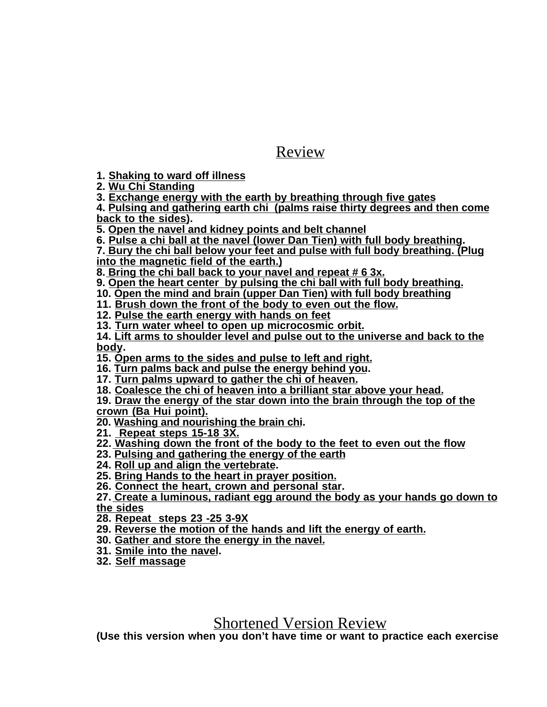## Review

**1. Shaking to ward off illness**

**2. Wu Chi Standing**

**3. Exchange energy with the earth by breathing through five gates**

**4. Pulsing and gathering earth chi (palms raise thirty degrees and then come back to the sides).**

**5. Open the navel and kidney points and belt channel**

**6. Pulse a chi ball at the navel (lower Dan Tien) with full body breathing.**

**7. Bury the chi ball below your feet and pulse with full body breathing. (Plug into the magnetic field of the earth.)**

**8. Bring the chi ball back to your navel and repeat # 6 3x.**

**9. Open the heart center by pulsing the chi ball with full body breathing.**

**10. Open the mind and brain (upper Dan Tien) with full body breathing**

**11. Brush down the front of the body to even out the flow.**

**12. Pulse the earth energy with hands on feet**

**13. Turn water wheel to open up microcosmic orbit.**

**14. Lift arms to shoulder level and pulse out to the universe and back to the body.**

**15. Open arms to the sides and pulse to left and right.**

**16. Turn palms back and pulse the energy behind you.**

**17. Turn palms upward to gather the chi of heaven.**

**18. Coalesce the chi of heaven into a brilliant star above your head.**

**19. Draw the energy of the star down into the brain through the top of the crown (Ba Hui point).**

**20. Washing and nourishing the brain chi.**

**21. Repeat steps 15-18 3X.**

**22. Washing down the front of the body to the feet to even out the flow**

**23. Pulsing and gathering the energy of the earth**

**24. Roll up and align the vertebrate.**

**25. Bring Hands to the heart in prayer position.**

**26. Connect the heart, crown and personal star.**

**27. Create a luminous, radiant egg around the body as your hands go down to the sides**

**28. Repeat steps 23 -25 3-9X**

**29. Reverse the motion of the hands and lift the energy of earth.**

**30. Gather and store the energy in the navel.**

**31. Smile into the navel.**

**32. Self massage**

## Shortened Version Review

**(Use this version when you don't have time or want to practice each exercise**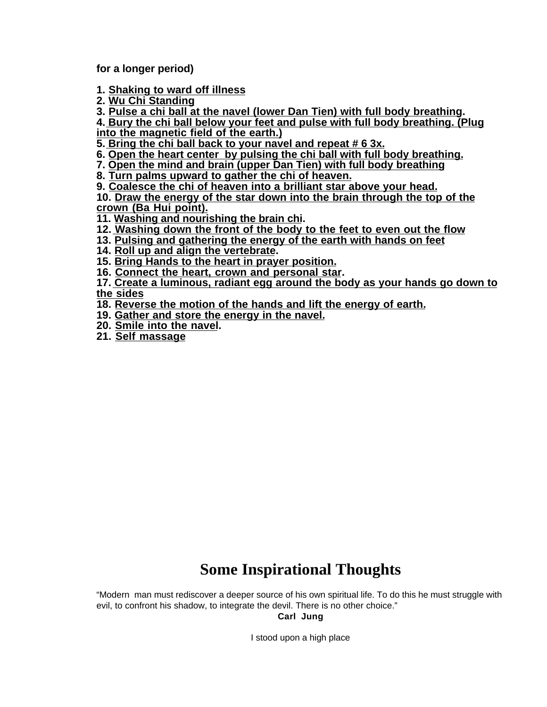**for a longer period)**

**1. Shaking to ward off illness**

**2. Wu Chi Standing**

**3. Pulse a chi ball at the navel (lower Dan Tien) with full body breathing.**

**4. Bury the chi ball below your feet and pulse with full body breathing. (Plug into the magnetic field of the earth.)**

**5. Bring the chi ball back to your navel and repeat # 6 3x.**

**6. Open the heart center by pulsing the chi ball with full body breathing.**

**7. Open the mind and brain (upper Dan Tien) with full body breathing**

**8. Turn palms upward to gather the chi of heaven.**

**9. Coalesce the chi of heaven into a brilliant star above your head.**

**10. Draw the energy of the star down into the brain through the top of the crown (Ba Hui point).**

**11. Washing and nourishing the brain chi.**

**12. Washing down the front of the body to the feet to even out the flow**

**13. Pulsing and gathering the energy of the earth with hands on feet**

**14. Roll up and align the vertebrate.**

**15. Bring Hands to the heart in prayer position.**

**16. Connect the heart, crown and personal star.**

**17. Create a luminous, radiant egg around the body as your hands go down to the sides**

**18. Reverse the motion of the hands and lift the energy of earth.**

**19. Gather and store the energy in the navel.**

**20. Smile into the navel.**

**21. Self massage**

# **Some Inspirational Thoughts**

"Modern man must rediscover a deeper source of his own spiritual life. To do this he must struggle with evil, to confront his shadow, to integrate the devil. There is no other choice."

**Carl Jung**

I stood upon a high place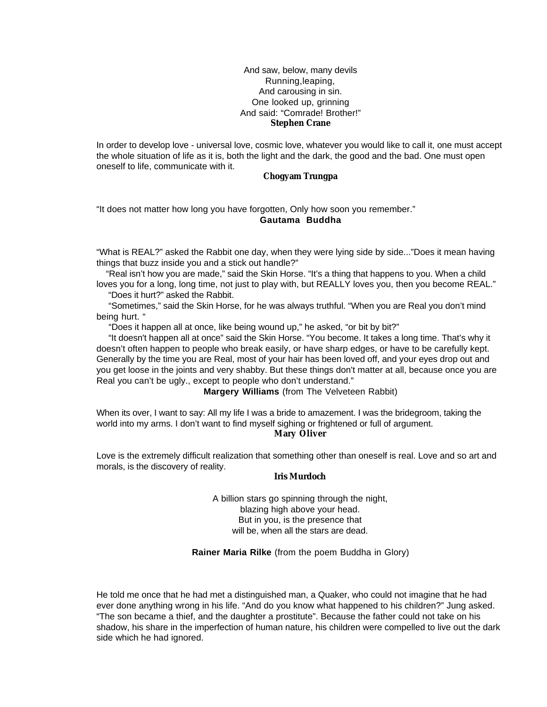#### And saw, below, many devils Running,leaping, And carousing in sin. One looked up, grinning And said: "Comrade! Brother!" **Stephen Crane**

In order to develop love - universal love, cosmic love, whatever you would like to call it, one must accept the whole situation of life as it is, both the light and the dark, the good and the bad. One must open oneself to life, communicate with it.

#### **Chogyam Trungpa**

"It does not matter how long you have forgotten, Only how soon you remember." **Gautama Buddha**

"What is REAL?" asked the Rabbit one day, when they were lying side by side..."Does it mean having things that buzz inside you and a stick out handle?"

 "Real isn't how you are made," said the Skin Horse. "It's a thing that happens to you. When a child loves you for a long, long time, not just to play with, but REALLY loves you, then you become REAL."

"Does it hurt?" asked the Rabbit.

 "Sometimes," said the Skin Horse, for he was always truthful. "When you are Real you don't mind being hurt. "

"Does it happen all at once, like being wound up," he asked, "or bit by bit?"

 "It doesn't happen all at once" said the Skin Horse. "You become. It takes a long time. That's why it doesn't often happen to people who break easily, or have sharp edges, or have to be carefully kept. Generally by the time you are Real, most of your hair has been loved off, and your eyes drop out and you get loose in the joints and very shabby. But these things don't matter at all, because once you are Real you can't be ugly., except to people who don't understand."

**Margery Williams** (from The Velveteen Rabbit)

When its over, I want to say: All my life I was a bride to amazement. I was the bridegroom, taking the world into my arms. I don't want to find myself sighing or frightened or full of argument. **Mary Oliver**

Love is the extremely difficult realization that something other than oneself is real. Love and so art and morals, is the discovery of reality.

#### **Iris Murdoch**

A billion stars go spinning through the night, blazing high above your head. But in you, is the presence that will be, when all the stars are dead.

**Rainer Maria Rilke** (from the poem Buddha in Glory)

He told me once that he had met a distinguished man, a Quaker, who could not imagine that he had ever done anything wrong in his life. "And do you know what happened to his children?" Jung asked. "The son became a thief, and the daughter a prostitute". Because the father could not take on his shadow, his share in the imperfection of human nature, his children were compelled to live out the dark side which he had ignored.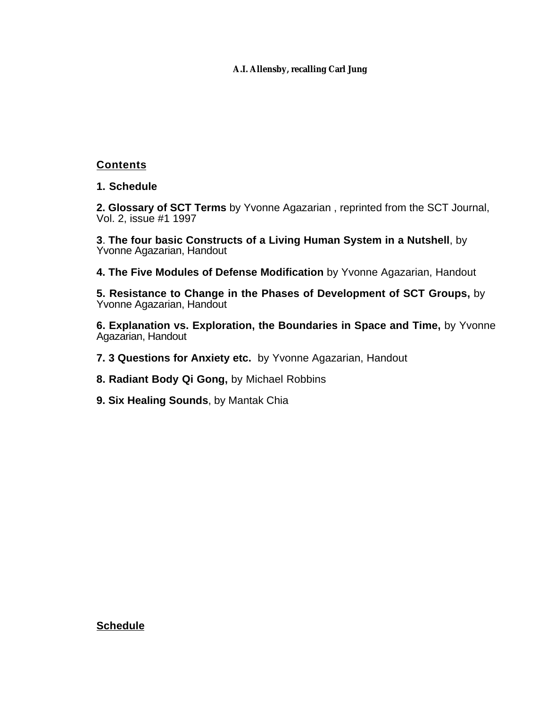#### **A.I. Allensby, recalling Carl Jung**

## **Contents**

**1. Schedule**

**2. Glossary of SCT Terms** by Yvonne Agazarian , reprinted from the SCT Journal, Vol. 2, issue #1 1997

**3**. **The four basic Constructs of a Living Human System in a Nutshell**, by Yvonne Agazarian, Handout

- **4. The Five Modules of Defense Modification** by Yvonne Agazarian, Handout
- **5. Resistance to Change in the Phases of Development of SCT Groups,** by Yvonne Agazarian, Handout

**6. Explanation vs. Exploration, the Boundaries in Space and Time,** by Yvonne Agazarian, Handout

- **7. 3 Questions for Anxiety etc.** by Yvonne Agazarian, Handout
- **8. Radiant Body Qi Gong,** by Michael Robbins
- **9. Six Healing Sounds**, by Mantak Chia

#### **Schedule**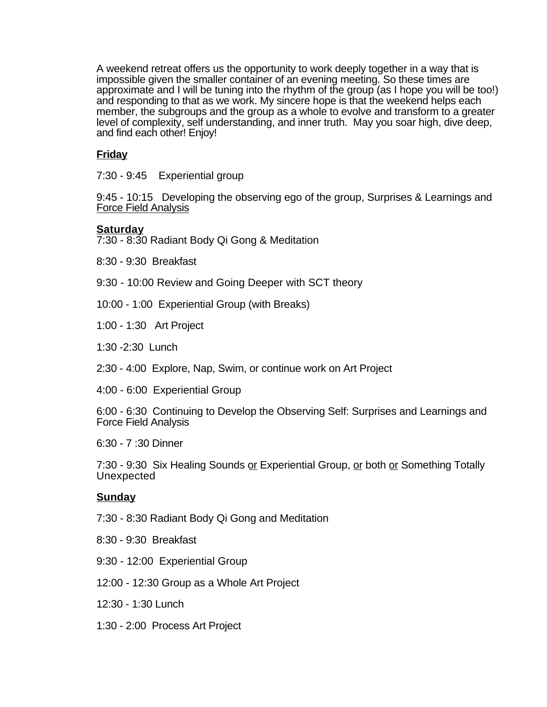A weekend retreat offers us the opportunity to work deeply together in a way that is impossible given the smaller container of an evening meeting. So these times are approximate and I will be tuning into the rhythm of the group (as I hope you will be too!) and responding to that as we work. My sincere hope is that the weekend helps each member, the subgroups and the group as a whole to evolve and transform to a greater level of complexity, self understanding, and inner truth. May you soar high, dive deep, and find each other! Enjoy!

## **Friday**

7:30 - 9:45 Experiential group

9:45 - 10:15 Developing the observing ego of the group, Surprises & Learnings and Force Field Analysis

## **Saturday**

- 7:30 8:30 Radiant Body Qi Gong & Meditation
- 8:30 9:30 Breakfast
- 9:30 10:00 Review and Going Deeper with SCT theory
- 10:00 1:00 Experiential Group (with Breaks)
- 1:00 1:30 Art Project
- 1:30 -2:30 Lunch
- 2:30 4:00 Explore, Nap, Swim, or continue work on Art Project
- 4:00 6:00 Experiential Group

6:00 - 6:30 Continuing to Develop the Observing Self: Surprises and Learnings and Force Field Analysis

6:30 - 7 :30 Dinner

7:30 - 9:30 Six Healing Sounds or Experiential Group, or both or Something Totally Unexpected

## **Sunday**

- 7:30 8:30 Radiant Body Qi Gong and Meditation
- 8:30 9:30 Breakfast
- 9:30 12:00 Experiential Group
- 12:00 12:30 Group as a Whole Art Project
- 12:30 1:30 Lunch
- 1:30 2:00 Process Art Project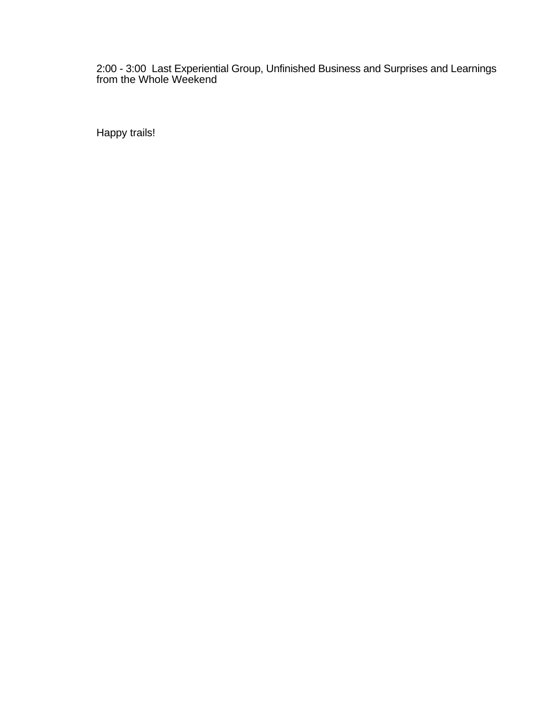#### 2:00 - 3:00 Last Experiential Group, Unfinished Business and Surprises and Learnings from the Whole Weekend

Happy trails!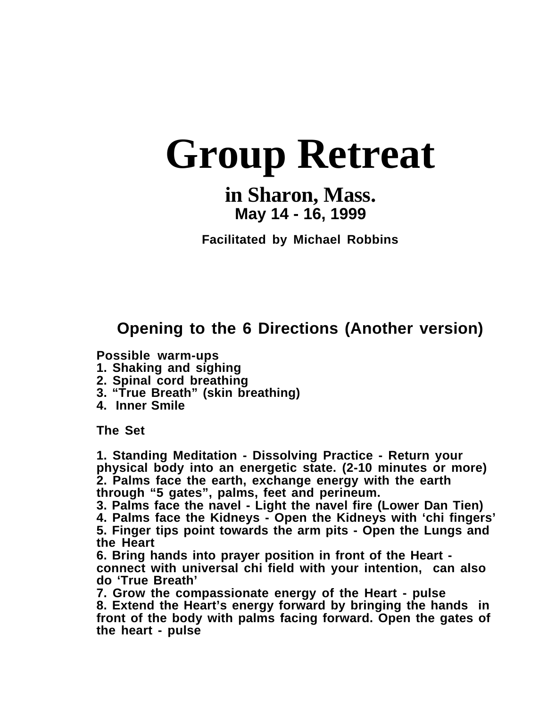# **Group Retreat**

# **in Sharon, Mass. May 14 - 16, 1999**

**Facilitated by Michael Robbins**

# **Opening to the 6 Directions (Another version)**

**Possible warm-ups**

- **1. Shaking and sighing**
- **2. Spinal cord breathing**
- **3. "True Breath" (skin breathing)**
- **4. Inner Smile**

**The Set**

**1. Standing Meditation - Dissolving Practice - Return your physical body into an energetic state. (2-10 minutes or more) 2. Palms face the earth, exchange energy with the earth through "5 gates", palms, feet and perineum.**

**3. Palms face the navel - Light the navel fire (Lower Dan Tien)**

**4. Palms face the Kidneys - Open the Kidneys with 'chi fingers' 5. Finger tips point towards the arm pits - Open the Lungs and the Heart**

**6. Bring hands into prayer position in front of the Heart connect with universal chi field with your intention, can also do 'True Breath'**

**7. Grow the compassionate energy of the Heart - pulse 8. Extend the Heart's energy forward by bringing the hands in front of the body with palms facing forward. Open the gates of the heart - pulse**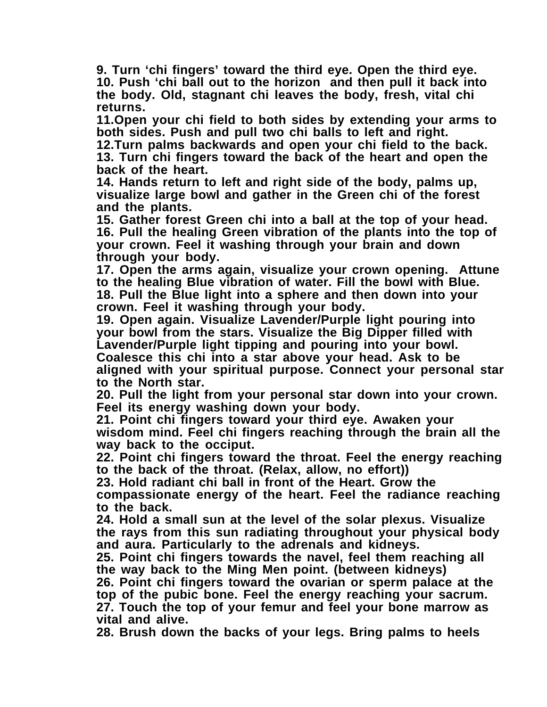**9. Turn 'chi fingers' toward the third eye. Open the third eye. 10. Push 'chi ball out to the horizon and then pull it back into the body. Old, stagnant chi leaves the body, fresh, vital chi returns.**

**11.Open your chi field to both sides by extending your arms to both sides. Push and pull two chi balls to left and right.**

**12.Turn palms backwards and open your chi field to the back. 13. Turn chi fingers toward the back of the heart and open the back of the heart.**

**14. Hands return to left and right side of the body, palms up, visualize large bowl and gather in the Green chi of the forest and the plants.**

**15. Gather forest Green chi into a ball at the top of your head. 16. Pull the healing Green vibration of the plants into the top of your crown. Feel it washing through your brain and down through your body.**

**17. Open the arms again, visualize your crown opening. Attune to the healing Blue vibration of water. Fill the bowl with Blue. 18. Pull the Blue light into a sphere and then down into your crown. Feel it washing through your body.**

**19. Open again. Visualize Lavender/Purple light pouring into your bowl from the stars. Visualize the Big Dipper filled with Lavender/Purple light tipping and pouring into your bowl. Coalesce this chi into a star above your head. Ask to be aligned with your spiritual purpose. Connect your personal star to the North star.**

**20. Pull the light from your personal star down into your crown. Feel its energy washing down your body.**

**21. Point chi fingers toward your third eye. Awaken your wisdom mind. Feel chi fingers reaching through the brain all the way back to the occiput.**

**22. Point chi fingers toward the throat. Feel the energy reaching to the back of the throat. (Relax, allow, no effort))**

**23. Hold radiant chi ball in front of the Heart. Grow the**

**compassionate energy of the heart. Feel the radiance reaching to the back.**

**24. Hold a small sun at the level of the solar plexus. Visualize the rays from this sun radiating throughout your physical body and aura. Particularly to the adrenals and kidneys.**

**25. Point chi fingers towards the navel, feel them reaching all the way back to the Ming Men point. (between kidneys)**

**26. Point chi fingers toward the ovarian or sperm palace at the top of the pubic bone. Feel the energy reaching your sacrum. 27. Touch the top of your femur and feel your bone marrow as vital and alive.**

**28. Brush down the backs of your legs. Bring palms to heels**